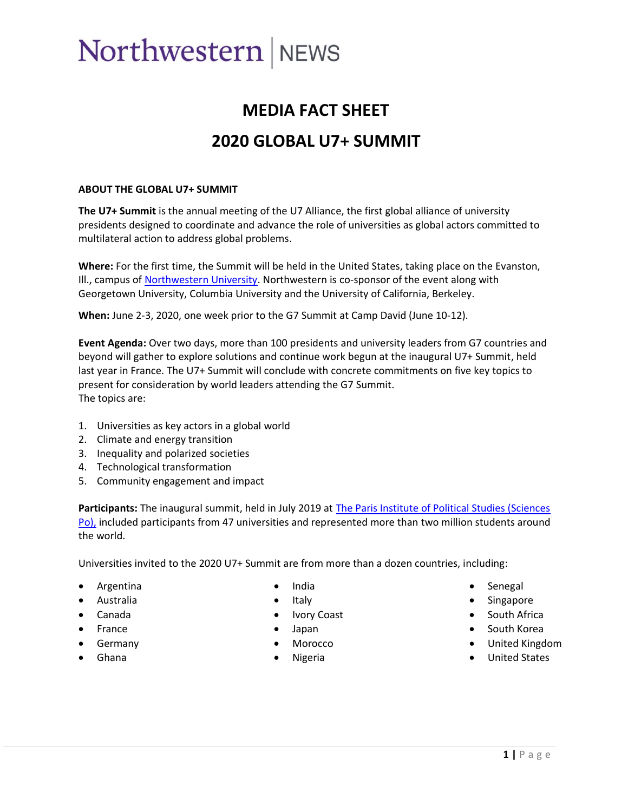# Northwestern NEWS

# **MEDIA FACT SHEET 2020 GLOBAL U7+ SUMMIT**

#### **ABOUT THE GLOBAL U7+ SUMMIT**

**The U7+ Summit** is the annual meeting of the U7 Alliance, the first global alliance of university presidents designed to coordinate and advance the role of universities as global actors committed to multilateral action to address global problems.

**Where:** For the first time, the Summit will be held in the United States, taking place on the Evanston, III., campus of [Northwestern University.](https://news.northwestern.edu/for-journalists/news-releases/university-media-kit/evanston-campus/) Northwestern is co-sponsor of the event along with Georgetown University, Columbia University and the University of California, Berkeley.

**When:** June 2-3, 2020, one week prior to the G7 Summit at Camp David (June 10-12).

**Event Agenda:** Over two days, more than 100 presidents and university leaders from G7 countries and beyond will gather to explore solutions and continue work begun at the inaugural U7+ Summit, held last year in France. The U7+ Summit will conclude with concrete commitments on five key topics to present for consideration by world leaders attending the G7 Summit. The topics are:

- 1. Universities as key actors in a global world
- 2. Climate and energy transition
- 3. Inequality and polarized societies
- 4. Technological transformation
- 5. Community engagement and impact

**Participants:** The inaugural summit, held in July 2019 at [The Paris Institute of Political Studies \(Sciences](https://www.sciencespo.fr/en/news/news/u7-alliance-a-university-alliance-to-weigh-in-on-the-g7-agenda/4248) [Po\),](https://www.sciencespo.fr/en/news/news/u7-alliance-a-university-alliance-to-weigh-in-on-the-g7-agenda/4248) included participants from 47 universities and represented more than two million students around the world.

Universities invited to the 2020 U7+ Summit are from more than a dozen countries, including:

- Argentina
- Australia
- Canada
- France
- Germany
- Ghana
- India
- Italy
- **Ivory Coast**
- Japan
- Morocco
- **Nigeria**
- - Senegal
	- **Singapore**
	- South Africa
	- South Korea
	- United Kingdom
	- United States